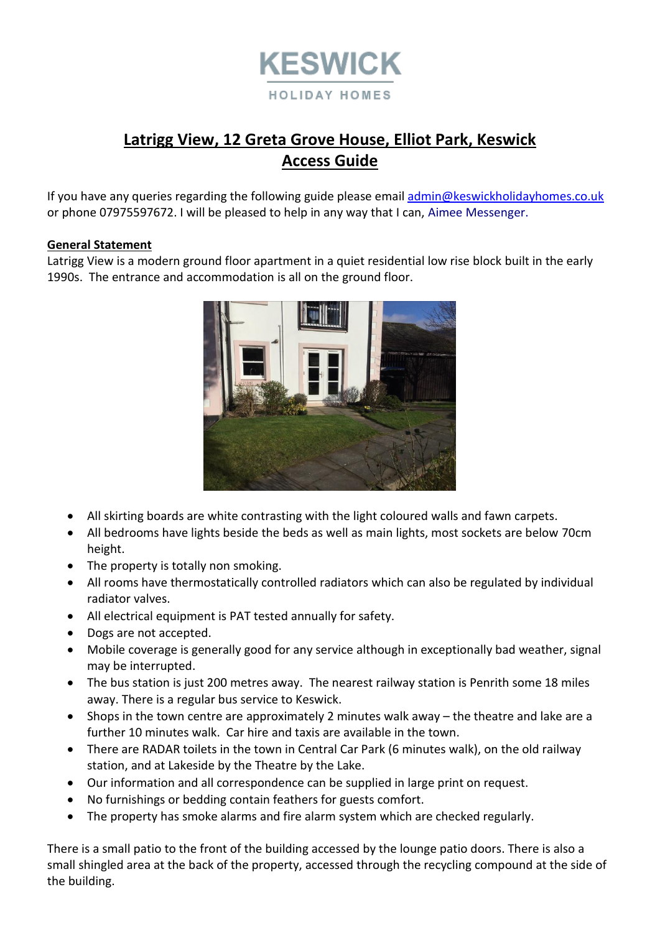

# **Latrigg View, 12 Greta Grove House, Elliot Park, Keswick Access Guide**

If you have any queries regarding the following guide please emai[l admin@keswickholidayhomes.co.uk](mailto:admin@keswickholidayhomes.co.uk) or phone 07975597672. I will be pleased to help in any way that I can, Aimee Messenger.

## **General Statement**

Latrigg View is a modern ground floor apartment in a quiet residential low rise block built in the early 1990s. The entrance and accommodation is all on the ground floor.



- All skirting boards are white contrasting with the light coloured walls and fawn carpets.
- All bedrooms have lights beside the beds as well as main lights, most sockets are below 70cm height.
- The property is totally non smoking.
- All rooms have thermostatically controlled radiators which can also be regulated by individual radiator valves.
- All electrical equipment is PAT tested annually for safety.
- Dogs are not accepted.
- Mobile coverage is generally good for any service although in exceptionally bad weather, signal may be interrupted.
- The bus station is just 200 metres away. The nearest railway station is Penrith some 18 miles away. There is a regular bus service to Keswick.
- Shops in the town centre are approximately 2 minutes walk away the theatre and lake are a further 10 minutes walk. Car hire and taxis are available in the town.
- There are RADAR toilets in the town in Central Car Park (6 minutes walk), on the old railway station, and at Lakeside by the Theatre by the Lake.
- Our information and all correspondence can be supplied in large print on request.
- No furnishings or bedding contain feathers for guests comfort.
- The property has smoke alarms and fire alarm system which are checked regularly.

There is a small patio to the front of the building accessed by the lounge patio doors. There is also a small shingled area at the back of the property, accessed through the recycling compound at the side of the building.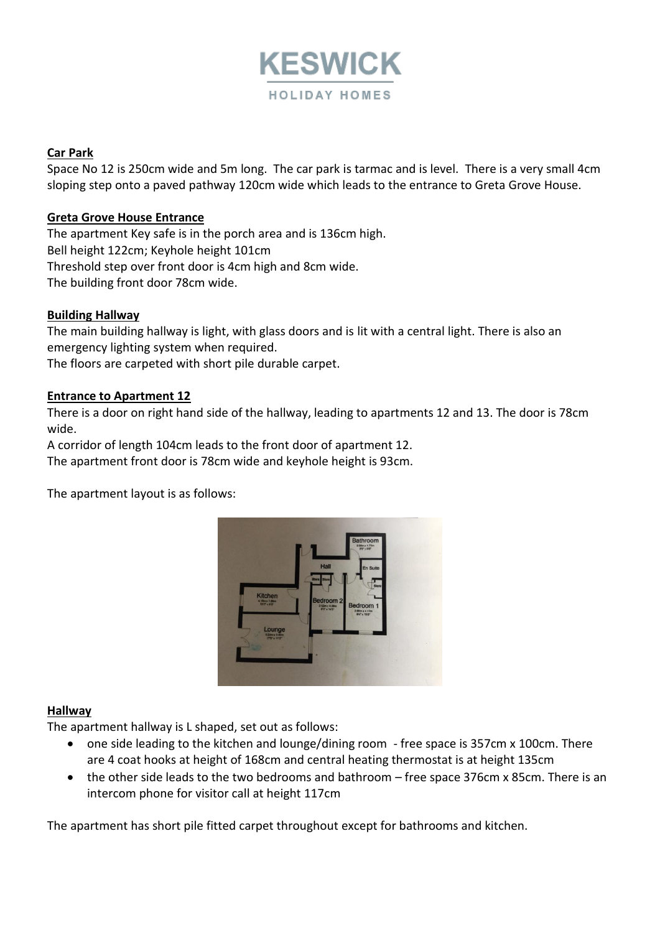

## **Car Park**

Space No 12 is 250cm wide and 5m long. The car park is tarmac and is level. There is a very small 4cm sloping step onto a paved pathway 120cm wide which leads to the entrance to Greta Grove House.

## **Greta Grove House Entrance**

The apartment Key safe is in the porch area and is 136cm high. Bell height 122cm; Keyhole height 101cm Threshold step over front door is 4cm high and 8cm wide. The building front door 78cm wide.

## **Building Hallway**

The main building hallway is light, with glass doors and is lit with a central light. There is also an emergency lighting system when required.

The floors are carpeted with short pile durable carpet.

### **Entrance to Apartment 12**

There is a door on right hand side of the hallway, leading to apartments 12 and 13. The door is 78cm wide.

A corridor of length 104cm leads to the front door of apartment 12. The apartment front door is 78cm wide and keyhole height is 93cm.

The apartment layout is as follows:



### **Hallway**

The apartment hallway is L shaped, set out as follows:

- one side leading to the kitchen and lounge/dining room free space is 357cm x 100cm. There are 4 coat hooks at height of 168cm and central heating thermostat is at height 135cm
- the other side leads to the two bedrooms and bathroom free space 376cm x 85cm. There is an intercom phone for visitor call at height 117cm

The apartment has short pile fitted carpet throughout except for bathrooms and kitchen.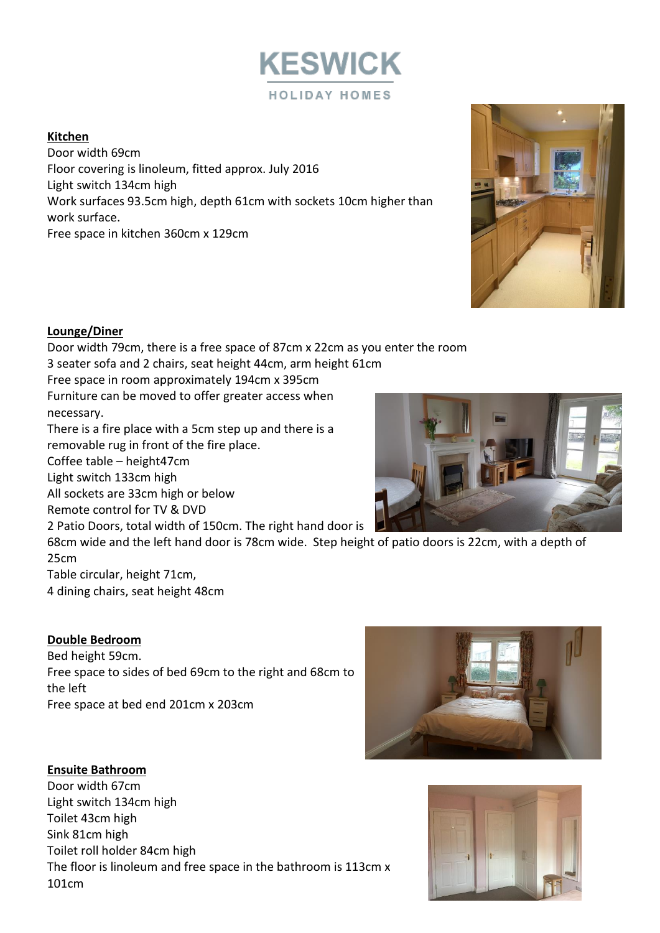

# **Kitchen**

Door width 69cm Floor covering is linoleum, fitted approx. July 2016 Light switch 134cm high Work surfaces 93.5cm high, depth 61cm with sockets 10cm higher than work surface. Free space in kitchen 360cm x 129cm



# **Lounge/Diner**

Door width 79cm, there is a free space of 87cm x 22cm as you enter the room 3 seater sofa and 2 chairs, seat height 44cm, arm height 61cm Free space in room approximately 194cm x 395cm Furniture can be moved to offer greater access when necessary. There is a fire place with a 5cm step up and there is a removable rug in front of the fire place. Coffee table – height47cm Light switch 133cm high All sockets are 33cm high or below Remote control for TV & DVD 2 Patio Doors, total width of 150cm. The right hand door is 68cm wide and the left hand door is 78cm wide. Step height of patio doors is 22cm, with a depth of 25cm Table circular, height 71cm,

4 dining chairs, seat height 48cm

# **Double Bedroom**

Bed height 59cm. Free space to sides of bed 69cm to the right and 68cm to the left Free space at bed end 201cm x 203cm

# **Ensuite Bathroom**

Door width 67cm Light switch 134cm high Toilet 43cm high Sink 81cm high Toilet roll holder 84cm high The floor is linoleum and free space in the bathroom is 113cm x 101cm